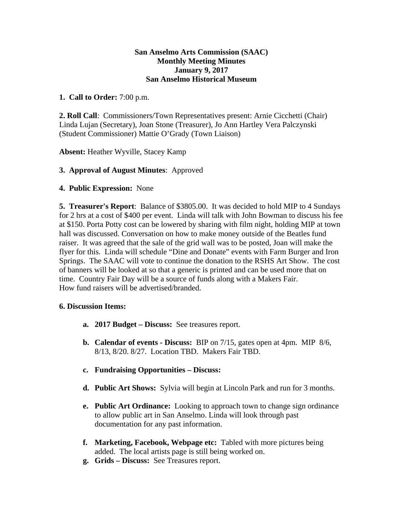#### **San Anselmo Arts Commission (SAAC) Monthly Meeting Minutes January 9, 2017 San Anselmo Historical Museum**

## **1. Call to Order:** 7:00 p.m.

**2. Roll Call**: Commissioners/Town Representatives present: Arnie Cicchetti (Chair) Linda Lujan (Secretary), Joan Stone (Treasurer), Jo Ann Hartley Vera Palczynski (Student Commissioner) Mattie O'Grady (Town Liaison)

**Absent:** Heather Wyville, Stacey Kamp

### **3. Approval of August Minutes**: Approved

### **4. Public Expression:** None

**5. Treasurer's Report**: Balance of \$3805.00. It was decided to hold MIP to 4 Sundays for 2 hrs at a cost of \$400 per event. Linda will talk with John Bowman to discuss his fee at \$150. Porta Potty cost can be lowered by sharing with film night, holding MIP at town hall was discussed. Conversation on how to make money outside of the Beatles fund raiser. It was agreed that the sale of the grid wall was to be posted, Joan will make the flyer for this. Linda will schedule "Dine and Donate" events with Farm Burger and Iron Springs. The SAAC will vote to continue the donation to the RSHS Art Show. The cost of banners will be looked at so that a generic is printed and can be used more that on time. Country Fair Day will be a source of funds along with a Makers Fair. How fund raisers will be advertised/branded.

#### **6. Discussion Items:**

- **a. 2017 Budget Discuss:** See treasures report.
- **b. Calendar of events - Discuss:** BIP on 7/15, gates open at 4pm. MIP 8/6, 8/13, 8/20. 8/27. Location TBD. Makers Fair TBD.
- **c. Fundraising Opportunities Discuss:**
- **d. Public Art Shows:** Sylvia will begin at Lincoln Park and run for 3 months.
- **e. Public Art Ordinance:** Looking to approach town to change sign ordinance to allow public art in San Anselmo. Linda will look through past documentation for any past information.
- **f. Marketing, Facebook, Webpage etc:** Tabled with more pictures being added. The local artists page is still being worked on.
- **g. Grids Discuss:** See Treasures report.